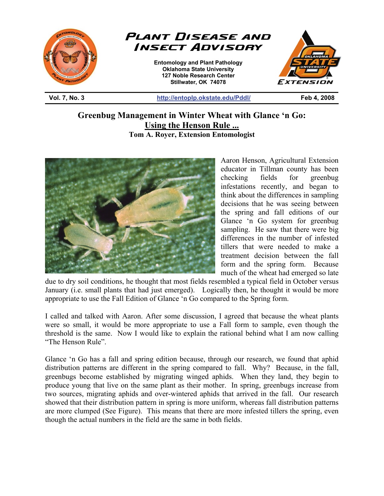



**Entomology and Plant Pathology Oklahoma State University 127 Noble Research Center Stillwater, OK 74078** 



**Vol. 7, No. 3 http://entoplp.okstate.edu/Pddl/ Feb 4, 2008** 

## **Greenbug Management in Winter Wheat with Glance 'n Go: Using the Henson Rule ... Tom A. Royer, Extension Entomologist**

֦



Aaron Henson, Agricultural Extension educator in Tillman county has been checking fields for greenbug infestations recently, and began to think about the differences in sampling decisions that he was seeing between the spring and fall editions of our Glance 'n Go system for greenbug sampling. He saw that there were big differences in the number of infested tillers that were needed to make a treatment decision between the fall form and the spring form. Because much of the wheat had emerged so late

due to dry soil conditions, he thought that most fields resembled a typical field in October versus January (i.e. small plants that had just emerged). Logically then, he thought it would be more appropriate to use the Fall Edition of Glance 'n Go compared to the Spring form.

I called and talked with Aaron. After some discussion, I agreed that because the wheat plants were so small, it would be more appropriate to use a Fall form to sample, even though the threshold is the same. Now I would like to explain the rational behind what I am now calling "The Henson Rule".

Glance 'n Go has a fall and spring edition because, through our research, we found that aphid distribution patterns are different in the spring compared to fall. Why? Because, in the fall, greenbugs become established by migrating winged aphids. When they land, they begin to produce young that live on the same plant as their mother. In spring, greenbugs increase from two sources, migrating aphids and over-wintered aphids that arrived in the fall. Our research showed that their distribution pattern in spring is more uniform, whereas fall distribution patterns are more clumped (See Figure). This means that there are more infested tillers the spring, even though the actual numbers in the field are the same in both fields.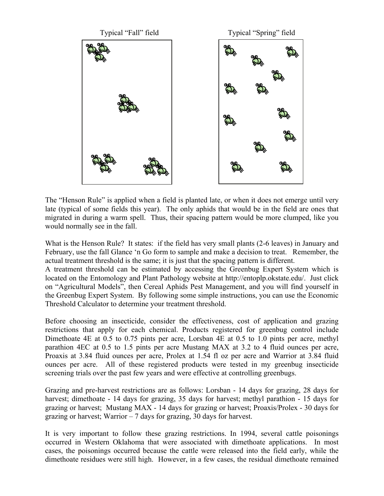

The "Henson Rule" is applied when a field is planted late, or when it does not emerge until very late (typical of some fields this year). The only aphids that would be in the field are ones that migrated in during a warm spell. Thus, their spacing pattern would be more clumped, like you would normally see in the fall.

What is the Henson Rule? It states: if the field has very small plants (2-6 leaves) in January and February, use the fall Glance 'n Go form to sample and make a decision to treat. Remember, the actual treatment threshold is the same; it is just that the spacing pattern is different.

A treatment threshold can be estimated by accessing the Greenbug Expert System which is located on the Entomology and Plant Pathology website at http://entoplp.okstate.edu/. Just click on "Agricultural Models", then Cereal Aphids Pest Management, and you will find yourself in the Greenbug Expert System. By following some simple instructions, you can use the Economic Threshold Calculator to determine your treatment threshold.

Before choosing an insecticide, consider the effectiveness, cost of application and grazing restrictions that apply for each chemical. Products registered for greenbug control include Dimethoate 4E at 0.5 to 0.75 pints per acre, Lorsban 4E at 0.5 to 1.0 pints per acre, methyl parathion 4EC at 0.5 to 1.5 pints per acre Mustang MAX at 3.2 to 4 fluid ounces per acre, Proaxis at 3.84 fluid ounces per acre, Prolex at 1.54 fl oz per acre and Warrior at 3.84 fluid ounces per acre. All of these registered products were tested in my greenbug insecticide screening trials over the past few years and were effective at controlling greenbugs.

Grazing and pre-harvest restrictions are as follows: Lorsban - 14 days for grazing, 28 days for harvest; dimethoate - 14 days for grazing, 35 days for harvest; methyl parathion - 15 days for grazing or harvest; Mustang MAX - 14 days for grazing or harvest; Proaxis/Prolex - 30 days for grazing or harvest; Warrior  $-7$  days for grazing, 30 days for harvest.

It is very important to follow these grazing restrictions. In 1994, several cattle poisonings occurred in Western Oklahoma that were associated with dimethoate applications. In most cases, the poisonings occurred because the cattle were released into the field early, while the dimethoate residues were still high. However, in a few cases, the residual dimethoate remained